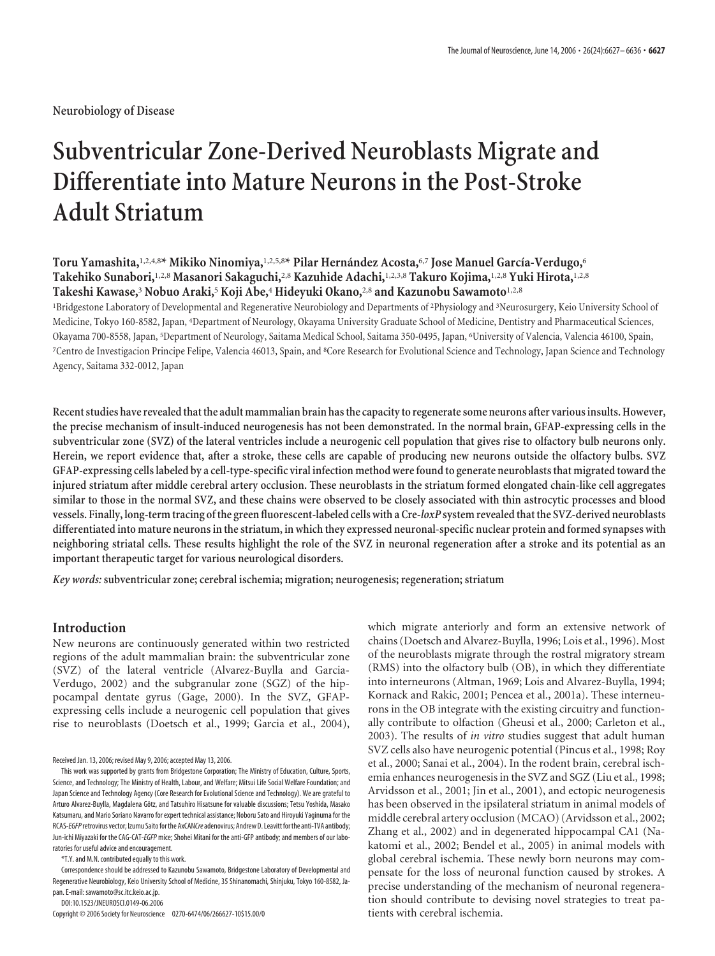**Neurobiology of Disease**

# **Subventricular Zone-Derived Neuroblasts Migrate and Differentiate into Mature Neurons in the Post-Stroke Adult Striatum**

# **Toru Yamashita,**1,2,4,8**\* Mikiko Ninomiya,**1,2,5,8**\* Pilar Herna´ndez Acosta,**6,7 **Jose Manuel Garcı´a-Verdugo,**<sup>6</sup> **Takehiko Sunabori,**1,2,8 **Masanori Sakaguchi,**2,8 **Kazuhide Adachi,**1,2,3,8 **Takuro Kojima,**1,2,8 **Yuki Hirota,**1,2,8 **Takeshi Kawase,**<sup>3</sup> **Nobuo Araki,**<sup>5</sup> **Koji Abe,**<sup>4</sup> **Hideyuki Okano,**2,8 **and Kazunobu Sawamoto**1,2,8

<sup>1</sup>Bridgestone Laboratory of Developmental and Regenerative Neurobiology and Departments of <sup>2</sup>Physiology and <sup>3</sup>Neurosurgery, Keio University School of Medicine, Tokyo 160-8582, Japan, <sup>4</sup> Department of Neurology, Okayama University Graduate School of Medicine, Dentistry and Pharmaceutical Sciences, Okayama 700-8558, Japan, <sup>5</sup> Department of Neurology, Saitama Medical School, Saitama 350-0495, Japan, <sup>6</sup> University of Valencia, Valencia 46100, Spain, 7 Centro de Investigacion Principe Felipe, Valencia 46013, Spain, and <sup>8</sup> Core Research for Evolutional Science and Technology, Japan Science and Technology Agency, Saitama 332-0012, Japan

**Recent studies have revealedthatthe adult mammalian brain hasthe capacityto regenerate some neurons after various insults. However, the precise mechanism of insult-induced neurogenesis has not been demonstrated. In the normal brain, GFAP-expressing cells in the subventricular zone (SVZ) of the lateral ventricles include a neurogenic cell population that gives rise to olfactory bulb neurons only. Herein, we report evidence that, after a stroke, these cells are capable of producing new neurons outside the olfactory bulbs. SVZ GFAP-expressing cells labeled by a cell-type-specific viral infection method were found to generate neuroblasts that migrated toward the injured striatum after middle cerebral artery occlusion. These neuroblasts in the striatum formed elongated chain-like cell aggregates similar to those in the normal SVZ, and these chains were observed to be closely associated with thin astrocytic processes and blood** vessels. Finally, long-term tracing of the green fluorescent-labeled cells with a Cre-*loxP* system revealed that the SVZ-derived neuroblasts **differentiated into mature neurons in the striatum, in which they expressed neuronal-specific nuclear protein and formed synapses with neighboring striatal cells. These results highlight the role of the SVZ in neuronal regeneration after a stroke and its potential as an important therapeutic target for various neurological disorders.**

*Key words:* **subventricular zone; cerebral ischemia; migration; neurogenesis; regeneration; striatum**

# **Introduction**

New neurons are continuously generated within two restricted regions of the adult mammalian brain: the subventricular zone (SVZ) of the lateral ventricle (Alvarez-Buylla and Garcia-Verdugo, 2002) and the subgranular zone (SGZ) of the hippocampal dentate gyrus (Gage, 2000). In the SVZ, GFAPexpressing cells include a neurogenic cell population that gives rise to neuroblasts (Doetsch et al., 1999; Garcia et al., 2004),

Received Jan. 13, 2006; revised May 9, 2006; accepted May 13, 2006.

This work was supported by grants from Bridgestone Corporation; The Ministry of Education, Culture, Sports, Science, and Technology; The Ministry of Health, Labour, and Welfare; Mitsui Life Social Welfare Foundation; and Japan Science and Technology Agency (Core Research for Evolutional Science and Technology). We are grateful to Arturo Alvarez-Buylla, Magdalena Götz, and Tatsuhiro Hisatsune for valuable discussions: Tetsu Yoshida, Masako Katsumaru, and Mario Soriano Navarro for expert technical assistance; Noboru Sato and Hiroyuki Yaginuma for the RCAS-*EGFP*retrovirus vector; Izumu Saito forthe AxCAN*Cre*adenovirus; Andrew D. Leavitt forthe anti-TVA antibody; Jun-ichi Miyazaki for the CAG-CAT-*EGFP* mice; Shohei Mitani for the anti-GFP antibody; and members of our laboratories for useful advice and encouragement.

\*T.Y. and M.N. contributed equally to this work.

Correspondence should be addressed to Kazunobu Sawamoto, Bridgestone Laboratory of Developmental and Regenerative Neurobiology, Keio University School of Medicine, 35 Shinanomachi, Shinjuku, Tokyo 160-8582, Japan. E-mail: sawamoto@sc.itc.keio.ac.jp.

DOI:10.1523/JNEUROSCI.0149-06.2006

Copyright © 2006 Society for Neuroscience 0270-6474/06/266627-10\$15.00/0

which migrate anteriorly and form an extensive network of chains (Doetsch and Alvarez-Buylla, 1996; Lois et al., 1996). Most of the neuroblasts migrate through the rostral migratory stream (RMS) into the olfactory bulb (OB), in which they differentiate into interneurons (Altman, 1969; Lois and Alvarez-Buylla, 1994; Kornack and Rakic, 2001; Pencea et al., 2001a). These interneurons in the OB integrate with the existing circuitry and functionally contribute to olfaction (Gheusi et al., 2000; Carleton et al., 2003). The results of *in vitro* studies suggest that adult human SVZ cells also have neurogenic potential (Pincus et al., 1998; Roy et al., 2000; Sanai et al., 2004). In the rodent brain, cerebral ischemia enhances neurogenesis in the SVZ and SGZ (Liu et al., 1998; Arvidsson et al., 2001; Jin et al., 2001), and ectopic neurogenesis has been observed in the ipsilateral striatum in animal models of middle cerebral artery occlusion (MCAO) (Arvidsson et al., 2002; Zhang et al., 2002) and in degenerated hippocampal CA1 (Nakatomi et al., 2002; Bendel et al., 2005) in animal models with global cerebral ischemia. These newly born neurons may compensate for the loss of neuronal function caused by strokes. A precise understanding of the mechanism of neuronal regeneration should contribute to devising novel strategies to treat patients with cerebral ischemia.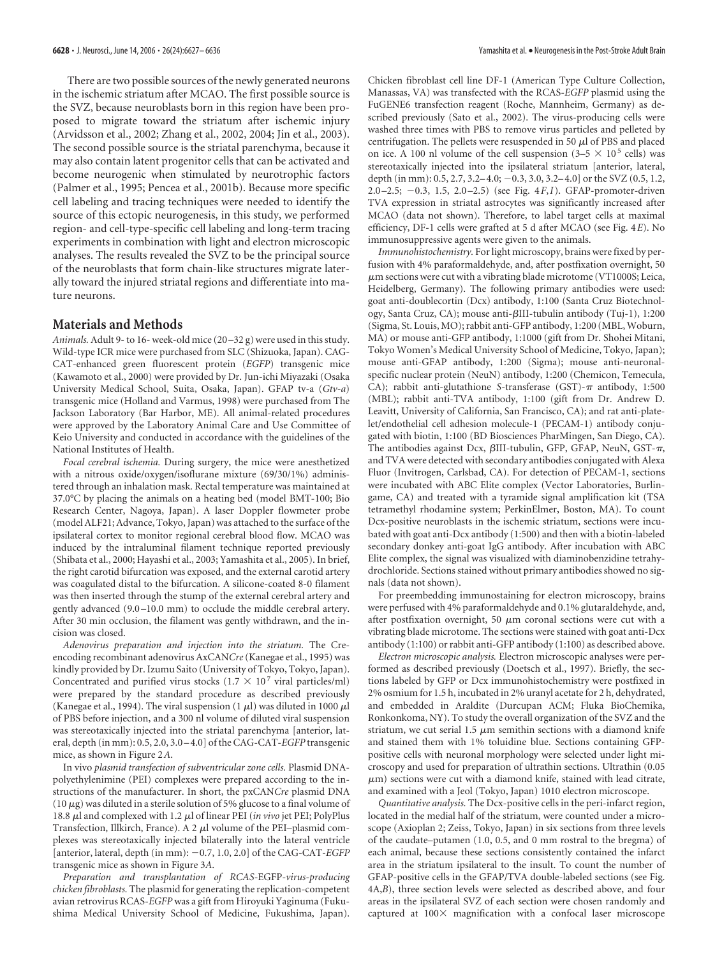There are two possible sources of the newly generated neurons in the ischemic striatum after MCAO. The first possible source is the SVZ, because neuroblasts born in this region have been proposed to migrate toward the striatum after ischemic injury (Arvidsson et al., 2002; Zhang et al., 2002, 2004; Jin et al., 2003). The second possible source is the striatal parenchyma, because it may also contain latent progenitor cells that can be activated and become neurogenic when stimulated by neurotrophic factors (Palmer et al., 1995; Pencea et al., 2001b). Because more specific cell labeling and tracing techniques were needed to identify the source of this ectopic neurogenesis, in this study, we performed region- and cell-type-specific cell labeling and long-term tracing experiments in combination with light and electron microscopic analyses. The results revealed the SVZ to be the principal source of the neuroblasts that form chain-like structures migrate laterally toward the injured striatal regions and differentiate into mature neurons.

## **Materials and Methods**

*Animals.*Adult 9- to 16- week-old mice (20 –32 g) were used in this study. Wild-type ICR mice were purchased from SLC (Shizuoka, Japan). CAG-CAT-enhanced green fluorescent protein (*EGFP*) transgenic mice (Kawamoto et al., 2000) were provided by Dr. Jun-ichi Miyazaki (Osaka University Medical School, Suita, Osaka, Japan). GFAP tv-a (*Gtv-a*) transgenic mice (Holland and Varmus, 1998) were purchased from The Jackson Laboratory (Bar Harbor, ME). All animal-related procedures were approved by the Laboratory Animal Care and Use Committee of Keio University and conducted in accordance with the guidelines of the National Institutes of Health.

*Focal cerebral ischemia.* During surgery, the mice were anesthetized with a nitrous oxide/oxygen/isoflurane mixture (69/30/1%) administered through an inhalation mask. Rectal temperature was maintained at 37.0°C by placing the animals on a heating bed (model BMT-100; Bio Research Center, Nagoya, Japan). A laser Doppler flowmeter probe (model ALF21; Advance, Tokyo, Japan) was attached to the surface of the ipsilateral cortex to monitor regional cerebral blood flow. MCAO was induced by the intraluminal filament technique reported previously (Shibata et al., 2000; Hayashi et al., 2003; Yamashita et al., 2005). In brief, the right carotid bifurcation was exposed, and the external carotid artery was coagulated distal to the bifurcation. A silicone-coated 8-0 filament was then inserted through the stump of the external cerebral artery and gently advanced (9.0 –10.0 mm) to occlude the middle cerebral artery. After 30 min occlusion, the filament was gently withdrawn, and the incision was closed.

*Adenovirus preparation and injection into the striatum.* The Creencoding recombinant adenovirus AxCAN*Cre*(Kanegae et al., 1995) was kindly provided by Dr. Izumu Saito (University of Tokyo, Tokyo, Japan). Concentrated and purified virus stocks  $(1.7 \times 10^7 \text{ viral particles/ml})$ were prepared by the standard procedure as described previously (Kanegae et al., 1994). The viral suspension (1  $\mu$ l) was diluted in 1000  $\mu$ l of PBS before injection, and a 300 nl volume of diluted viral suspension was stereotaxically injected into the striatal parenchyma [anterior, lateral, depth (in mm): 0.5, 2.0, 3.0 – 4.0] of the CAG-CAT-*EGFP* transgenic mice, as shown in Figure 2*A*.

In vivo *plasmid transfection of subventricular zone cells.* Plasmid DNApolyethylenimine (PEI) complexes were prepared according to the instructions of the manufacturer. In short, the pxCAN*Cre* plasmid DNA (10  $\mu$ g) was diluted in a sterile solution of 5% glucose to a final volume of 18.8  $\mu$ l and complexed with 1.2  $\mu$ l of linear PEI (*in vivo* jet PEI; PolyPlus Transfection, Illkirch, France). A 2  $\mu$ l volume of the PEI–plasmid complexes was stereotaxically injected bilaterally into the lateral ventricle [anterior, lateral, depth (in mm): -0.7, 1.0, 2.0] of the CAG-CAT-*EGFP* transgenic mice as shown in Figure 3*A*.

*Preparation and transplantation of RCAS-*EGFP*-virus-producing chicken fibroblasts.* The plasmid for generating the replication-competent avian retrovirus RCAS-*EGFP* was a gift from Hiroyuki Yaginuma (Fukushima Medical University School of Medicine, Fukushima, Japan). Chicken fibroblast cell line DF-1 (American Type Culture Collection, Manassas, VA) was transfected with the RCAS-*EGFP* plasmid using the FuGENE6 transfection reagent (Roche, Mannheim, Germany) as described previously (Sato et al., 2002). The virus-producing cells were washed three times with PBS to remove virus particles and pelleted by centrifugation. The pellets were resuspended in 50  $\mu$ l of PBS and placed on ice. A 100 nl volume of the cell suspension  $(3-5 \times 10^5 \text{ cells})$  was stereotaxically injected into the ipsilateral striatum [anterior, lateral, depth (in mm): 0.5, 2.7, 3.2– 4.0; -0.3, 3.0, 3.2– 4.0] or the SVZ (0.5, 1.2, 2.0 –2.5; -0.3, 1.5, 2.0 –2.5) (see Fig. 4*F*,*I*). GFAP-promoter-driven TVA expression in striatal astrocytes was significantly increased after MCAO (data not shown). Therefore, to label target cells at maximal efficiency, DF-1 cells were grafted at 5 d after MCAO (see Fig. 4*E*). No immunosuppressive agents were given to the animals.

*Immunohistochemistry.* For light microscopy, brains were fixed by perfusion with 4% paraformaldehyde, and, after postfixation overnight, 50  $\mu$ m sections were cut with a vibrating blade microtome (VT1000S; Leica, Heidelberg, Germany). The following primary antibodies were used: goat anti-doublecortin (Dcx) antibody, 1:100 (Santa Cruz Biotechnology, Santa Cruz, CA); mouse anti- $\beta$ III-tubulin antibody (Tuj-1), 1:200 (Sigma, St. Louis, MO); rabbit anti-GFP antibody, 1:200 (MBL, Woburn, MA) or mouse anti-GFP antibody, 1:1000 (gift from Dr. Shohei Mitani, Tokyo Women's Medical University School of Medicine, Tokyo, Japan); mouse anti-GFAP antibody, 1:200 (Sigma); mouse anti-neuronalspecific nuclear protein (NeuN) antibody, 1:200 (Chemicon, Temecula, CA); rabbit anti-glutathione *S*-transferase (GST)- $\pi$  antibody, 1:500 (MBL); rabbit anti-TVA antibody, 1:100 (gift from Dr. Andrew D. Leavitt, University of California, San Francisco, CA); and rat anti-platelet/endothelial cell adhesion molecule-1 (PECAM-1) antibody conjugated with biotin, 1:100 (BD Biosciences PharMingen, San Diego, CA). The antibodies against Dcx,  $\beta$ III-tubulin, GFP, GFAP, NeuN, GST- $\pi$ , and TVA were detected with secondary antibodies conjugated with Alexa Fluor (Invitrogen, Carlsbad, CA). For detection of PECAM-1, sections were incubated with ABC Elite complex (Vector Laboratories, Burlingame, CA) and treated with a tyramide signal amplification kit (TSA tetramethyl rhodamine system; PerkinElmer, Boston, MA). To count Dcx-positive neuroblasts in the ischemic striatum, sections were incubated with goat anti-Dcx antibody (1:500) and then with a biotin-labeled secondary donkey anti-goat IgG antibody. After incubation with ABC Elite complex, the signal was visualized with diaminobenzidine tetrahydrochloride. Sections stained without primary antibodies showed no signals (data not shown).

For preembedding immunostaining for electron microscopy, brains were perfused with 4% paraformaldehyde and 0.1% glutaraldehyde, and, after postfixation overnight, 50  $\mu$ m coronal sections were cut with a vibrating blade microtome. The sections were stained with goat anti-Dcx antibody (1:100) or rabbit anti-GFP antibody (1:100) as described above.

*Electron microscopic analysis.* Electron microscopic analyses were performed as described previously (Doetsch et al., 1997). Briefly, the sections labeled by GFP or Dcx immunohistochemistry were postfixed in 2% osmium for 1.5 h, incubated in 2% uranyl acetate for 2 h, dehydrated, and embedded in Araldite (Durcupan ACM; Fluka BioChemika, Ronkonkoma, NY). To study the overall organization of the SVZ and the striatum, we cut serial 1.5  $\mu$ m semithin sections with a diamond knife and stained them with 1% toluidine blue. Sections containing GFPpositive cells with neuronal morphology were selected under light microscopy and used for preparation of ultrathin sections. Ultrathin (0.05  $\mu$ m) sections were cut with a diamond knife, stained with lead citrate, and examined with a Jeol (Tokyo, Japan) 1010 electron microscope.

*Quantitative analysis.* The Dcx-positive cells in the peri-infarct region, located in the medial half of the striatum, were counted under a microscope (Axioplan 2; Zeiss, Tokyo, Japan) in six sections from three levels of the caudate–putamen (1.0, 0.5, and 0 mm rostral to the bregma) of each animal, because these sections consistently contained the infarct area in the striatum ipsilateral to the insult. To count the number of GFAP-positive cells in the GFAP/TVA double-labeled sections (see Fig. 4A,*B*), three section levels were selected as described above, and four areas in the ipsilateral SVZ of each section were chosen randomly and captured at  $100 \times$  magnification with a confocal laser microscope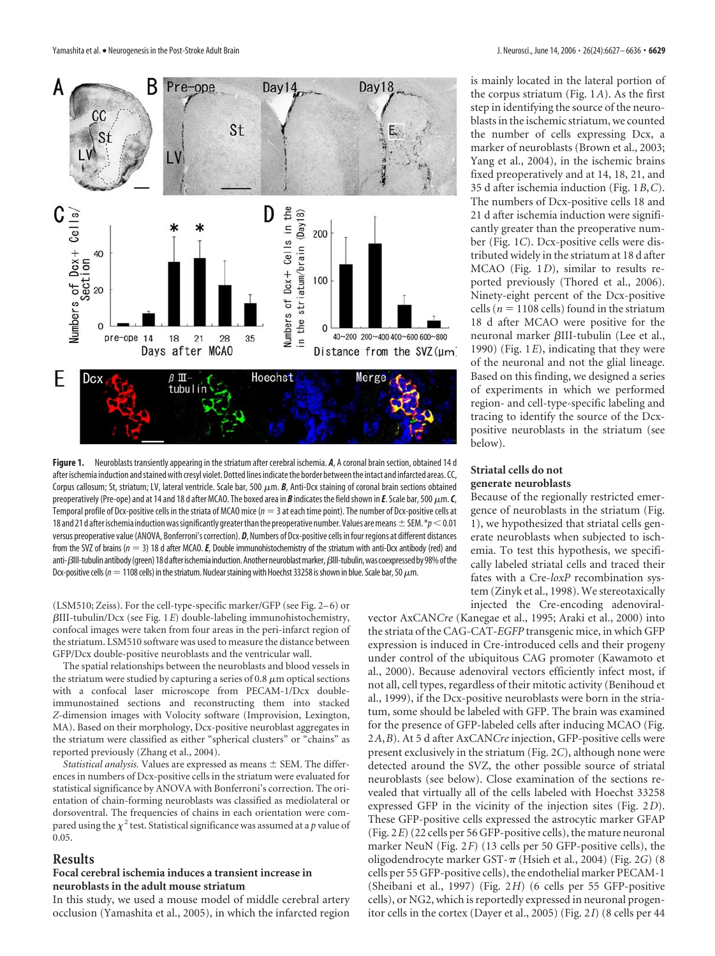

**Figure 1.** Neuroblasts transiently appearing in the striatum after cerebral ischemia. *A*, A coronal brain section, obtained 14 d after ischemia induction and stained with cresyl violet. Dotted lines indicate the border between the intact and infarcted areas. CC, Corpus callosum; St, striatum; LV, lateral ventricle. Scale bar, 500  $\mu$ m. **B**, Anti-Dcx staining of coronal brain sections obtained preoperatively (Pre-ope) and at 14 and 18 d after MCAO. The boxed area in  $B$  indicates the field shown in  $E$ . Scale bar, 500  $\mu$ m.  $C$ , Temporal profile of Dcx-positive cells in the striata of MCAO mice ( $n = 3$  at each time point). The number of Dcx-positive cells at 18 and 21 d after ischemia induction was significantly greater than the preoperative number. Values are means  $\pm$  SEM.  $*$   $p$   $<$  0.01 versus preoperative value (ANOVA, Bonferroni's correction). *D*, Numbers of Dcx-positive cells in four regions at different distances from the SVZ of brains ( $n = 3$ ) 18 d after MCAO. E, Double immunohistochemistry of the striatum with anti-Dcx antibody (red) and anti-*β*III-tubulin antibody (green) 18 d after ischemia induction. Another neuroblast marker, *β*III-tubulin, was coexpressed by 98% of the Dcx-positive cells ( $n=1108$  cells) in the striatum. Nuclear staining with Hoechst 33258 is shown in blue. Scale bar, 50  $\mu$ m.

(LSM510; Zeiss). For the cell-type-specific marker/GFP (see Fig. 2– 6) or -III-tubulin/Dcx (see Fig. 1*E*) double-labeling immunohistochemistry, confocal images were taken from four areas in the peri-infarct region of the striatum. LSM510 software was used to measure the distance between GFP/Dcx double-positive neuroblasts and the ventricular wall.

The spatial relationships between the neuroblasts and blood vessels in the striatum were studied by capturing a series of 0.8  $\mu$ m optical sections with a confocal laser microscope from PECAM-1/Dcx doubleimmunostained sections and reconstructing them into stacked *Z*-dimension images with Volocity software (Improvision, Lexington, MA). Based on their morphology, Dcx-positive neuroblast aggregates in the striatum were classified as either "spherical clusters" or "chains" as reported previously (Zhang et al., 2004).

*Statistical analysis.* Values are expressed as means  $\pm$  SEM. The differences in numbers of Dcx-positive cells in the striatum were evaluated for statistical significance by ANOVA with Bonferroni's correction. The orientation of chain-forming neuroblasts was classified as mediolateral or dorsoventral. The frequencies of chains in each orientation were compared using the  $\chi^2$  test. Statistical significance was assumed at a p value of 0.05.

#### **Results**

#### **Focal cerebral ischemia induces a transient increase in neuroblasts in the adult mouse striatum**

In this study, we used a mouse model of middle cerebral artery occlusion (Yamashita et al., 2005), in which the infarcted region

is mainly located in the lateral portion of the corpus striatum (Fig. 1*A*). As the first step in identifying the source of the neuroblasts in the ischemic striatum, we counted the number of cells expressing Dcx, a marker of neuroblasts (Brown et al., 2003; Yang et al., 2004), in the ischemic brains fixed preoperatively and at 14, 18, 21, and 35 d after ischemia induction (Fig. 1*B*,*C*). The numbers of Dcx-positive cells 18 and 21 d after ischemia induction were significantly greater than the preoperative number (Fig. 1*C*). Dcx-positive cells were distributed widely in the striatum at 18 d after MCAO (Fig. 1*D*), similar to results reported previously (Thored et al., 2006). Ninety-eight percent of the Dcx-positive cells ( $n = 1108$  cells) found in the striatum 18 d after MCAO were positive for the neuronal marker βIII-tubulin (Lee et al., 1990) (Fig. 1*E*), indicating that they were of the neuronal and not the glial lineage. Based on this finding, we designed a series of experiments in which we performed region- and cell-type-specific labeling and tracing to identify the source of the Dcxpositive neuroblasts in the striatum (see below).

# **Striatal cells do not generate neuroblasts**

Because of the regionally restricted emergence of neuroblasts in the striatum (Fig. 1), we hypothesized that striatal cells generate neuroblasts when subjected to ischemia. To test this hypothesis, we specifically labeled striatal cells and traced their fates with a Cre-*loxP* recombination system (Zinyk et al., 1998). We stereotaxically injected the Cre-encoding adenoviral-

vector AxCAN*Cre* (Kanegae et al., 1995; Araki et al., 2000) into the striata of the CAG-CAT-*EGFP* transgenic mice, in which GFP expression is induced in Cre-introduced cells and their progeny under control of the ubiquitous CAG promoter (Kawamoto et al., 2000). Because adenoviral vectors efficiently infect most, if not all, cell types, regardless of their mitotic activity (Benihoud et al., 1999), if the Dcx-positive neuroblasts were born in the striatum, some should be labeled with GFP. The brain was examined for the presence of GFP-labeled cells after inducing MCAO (Fig. 2*A*,*B*). At 5 d after AxCAN*Cre* injection, GFP-positive cells were present exclusively in the striatum (Fig. 2*C*), although none were detected around the SVZ, the other possible source of striatal neuroblasts (see below). Close examination of the sections revealed that virtually all of the cells labeled with Hoechst 33258 expressed GFP in the vicinity of the injection sites (Fig. 2*D*). These GFP-positive cells expressed the astrocytic marker GFAP (Fig. 2*E*) (22 cells per 56 GFP-positive cells), the mature neuronal marker NeuN (Fig. 2*F*) (13 cells per 50 GFP-positive cells), the oligodendrocyte marker GST- $\pi$  (Hsieh et al., 2004) (Fig. 2*G*) (8 cells per 55 GFP-positive cells), the endothelial marker PECAM-1 (Sheibani et al., 1997) (Fig. 2*H*) (6 cells per 55 GFP-positive cells), or NG2, which is reportedly expressed in neuronal progenitor cells in the cortex (Dayer et al., 2005) (Fig. 2*I*) (8 cells per 44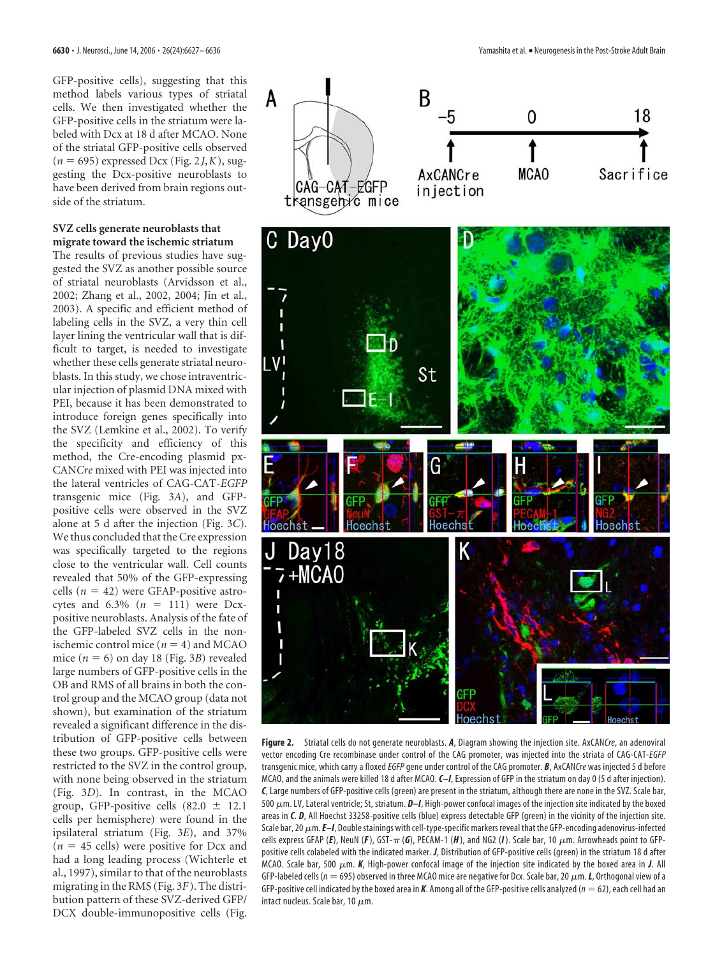GFP-positive cells), suggesting that this method labels various types of striatal cells. We then investigated whether the GFP-positive cells in the striatum were labeled with Dcx at 18 d after MCAO. None of the striatal GFP-positive cells observed  $(n = 695)$  expressed Dcx (Fig. 2*J,K*), suggesting the Dcx-positive neuroblasts to have been derived from brain regions outside of the striatum.

# **SVZ cells generate neuroblasts that migrate toward the ischemic striatum**

The results of previous studies have suggested the SVZ as another possible source of striatal neuroblasts (Arvidsson et al., 2002; Zhang et al., 2002, 2004; Jin et al., 2003). A specific and efficient method of labeling cells in the SVZ, a very thin cell layer lining the ventricular wall that is difficult to target, is needed to investigate whether these cells generate striatal neuroblasts. In this study, we chose intraventricular injection of plasmid DNA mixed with PEI, because it has been demonstrated to introduce foreign genes specifically into the SVZ (Lemkine et al., 2002). To verify the specificity and efficiency of this method, the Cre-encoding plasmid px-CAN*Cre* mixed with PEI was injected into the lateral ventricles of CAG-CAT-*EGFP* transgenic mice (Fig. 3*A*), and GFPpositive cells were observed in the SVZ alone at 5 d after the injection (Fig. 3*C*). We thus concluded that the Cre expression was specifically targeted to the regions close to the ventricular wall. Cell counts revealed that 50% of the GFP-expressing cells  $(n = 42)$  were GFAP-positive astrocytes and  $6.3\%$  ( $n = 111$ ) were Dcxpositive neuroblasts. Analysis of the fate of the GFP-labeled SVZ cells in the nonischemic control mice  $(n = 4)$  and MCAO mice  $(n = 6)$  on day 18 (Fig. 3*B*) revealed large numbers of GFP-positive cells in the OB and RMS of all brains in both the control group and the MCAO group (data not shown), but examination of the striatum revealed a significant difference in the distribution of GFP-positive cells between these two groups. GFP-positive cells were restricted to the SVZ in the control group, with none being observed in the striatum (Fig. 3*D*). In contrast, in the MCAO group, GFP-positive cells  $(82.0 \pm 12.1)$ cells per hemisphere) were found in the ipsilateral striatum (Fig. 3*E*), and 37%  $(n = 45$  cells) were positive for Dcx and had a long leading process (Wichterle et al., 1997), similar to that of the neuroblasts migrating in the RMS (Fig. 3*F*). The distribution pattern of these SVZ-derived GFP/ DCX double-immunopositive cells (Fig.



**Figure 2.** Striatal cells do not generate neuroblasts. *A*, Diagram showing the injection site. AxCAN*Cre*, an adenoviral vector encoding Cre recombinase under control of the CAG promoter, was injected into the striata of CAG-CAT-*EGFP* transgenic mice, which carry a floxed*EGFP*gene under control of the CAG promoter. *B*, AxCAN*Cre* was injected 5 d before MCAO, and the animals were killed 18 d after MCAO. *C–I*, Expression of GFP in the striatum on day 0 (5 d after injection). *C*, Large numbers of GFP-positive cells (green) are present in the striatum, although there are none in the SVZ. Scale bar, 500 m. LV, Lateral ventricle; St, striatum. *D–I*, High-power confocal images of the injection site indicated by the boxed areas in C. D, All Hoechst 33258-positive cells (blue) express detectable GFP (green) in the vicinity of the injection site. Scale bar, 20 μm. **E-I**, Double stainings with cell-type-specific markers reveal that the GFP-encoding adenovirus-infected cells express GFAP ( $E$ ), NeuN ( $F$ ), GST- $\pi$  ( $G$ ), PECAM-1 ( $H$ ), and NG2 ( $I$ ). Scale bar, 10  $\mu$ m. Arrowheads point to GFPpositive cells colabeled with the indicated marker*. J*, Distribution of GFP-positive cells (green) in the striatum 18 d after MCAO. Scale bar, 500  $\mu$ m. K, High-power confocal image of the injection site indicated by the boxed area in J. All GFP-labeled cells ( $n = 695$ ) observed in three MCAO mice are negative for Dcx. Scale bar, 20  $\mu$ m. *L*, Orthogonal view of a GFP-positive cell indicated by the boxed area in **K**. Among all of the GFP-positive cells analyzed ( $n = 62$ ), each cell had an intact nucleus. Scale bar, 10  $\mu$ m.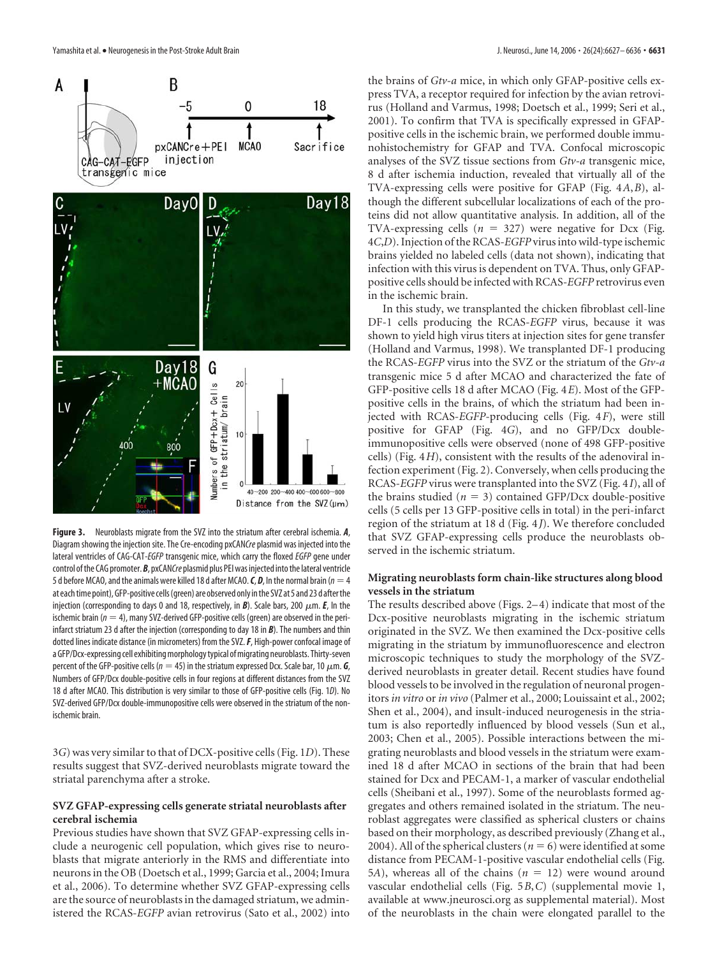



**Figure 3.** Neuroblasts migrate from the SVZ into the striatum after cerebral ischemia. *A*, Diagram showing the injection site. The Cre-encoding pxCAN*Cre*plasmid was injected into the lateral ventricles of CAG-CAT-*EGFP* transgenic mice, which carry the floxed *EGFP* gene under control ofthe CAG promoter.*B*, pxCAN*Cre*plasmid plus PEI was injected intothe lateral ventricle 5 d before MCAO, and the animals were killed 18 d after MCAO.  $C$ ,  $D$ , In the normal brain ( $n=4$ at each time point), GFP-positive cells (green) are observed only in the SVZ at 5 and 23 d after the injection (corresponding to days 0 and 18, respectively, in  $\bm{B}$ ). Scale bars, 200  $\mu$ m.  $\bm{E}$ , In the ischemic brain ( $n = 4$ ), many SVZ-derived GFP-positive cells (green) are observed in the periinfarct striatum 23 d after the injection (corresponding to day 18 in *B*). The numbers and thin dotted lines indicate distance (in micrometers) from the SVZ.*F*, High-power confocal image of a GFP/Dcx-expressing cell exhibiting morphology typical of migrating neuroblasts. Thirty-seven percent of the GFP-positive cells ( $n = 45$ ) in the striatum expressed Dcx. Scale bar, 10  $\mu$ m. *G*, Numbers of GFP/Dcx double-positive cells in four regions at different distances from the SVZ 18 d after MCAO. This distribution is very similar to those of GFP-positive cells (Fig. 1*D*). No SVZ-derived GFP/Dcx double-immunopositive cells were observed in the striatum of the nonischemic brain.

3*G*) was very similar to that of DCX-positive cells (Fig. 1*D*). These results suggest that SVZ-derived neuroblasts migrate toward the striatal parenchyma after a stroke.

### **SVZ GFAP-expressing cells generate striatal neuroblasts after cerebral ischemia**

Previous studies have shown that SVZ GFAP-expressing cells include a neurogenic cell population, which gives rise to neuroblasts that migrate anteriorly in the RMS and differentiate into neurons in the OB (Doetsch et al., 1999; Garcia et al., 2004; Imura et al., 2006). To determine whether SVZ GFAP-expressing cells are the source of neuroblasts in the damaged striatum, we administered the RCAS-*EGFP* avian retrovirus (Sato et al., 2002) into

the brains of *Gtv-a* mice, in which only GFAP-positive cells express TVA, a receptor required for infection by the avian retrovirus (Holland and Varmus, 1998; Doetsch et al., 1999; Seri et al., 2001). To confirm that TVA is specifically expressed in GFAPpositive cells in the ischemic brain, we performed double immunohistochemistry for GFAP and TVA. Confocal microscopic analyses of the SVZ tissue sections from *Gtv-a* transgenic mice, 8 d after ischemia induction, revealed that virtually all of the TVA-expressing cells were positive for GFAP (Fig. 4*A*,*B*), although the different subcellular localizations of each of the proteins did not allow quantitative analysis. In addition, all of the TVA-expressing cells  $(n = 327)$  were negative for Dcx (Fig. 4*C*,*D*). Injection of the RCAS-*EGFP* virus into wild-type ischemic brains yielded no labeled cells (data not shown), indicating that infection with this virus is dependent on TVA. Thus, only GFAPpositive cells should be infected with RCAS-*EGFP* retrovirus even in the ischemic brain.

In this study, we transplanted the chicken fibroblast cell-line DF-1 cells producing the RCAS-*EGFP* virus, because it was shown to yield high virus titers at injection sites for gene transfer (Holland and Varmus, 1998). We transplanted DF-1 producing the RCAS-*EGFP* virus into the SVZ or the striatum of the *Gtv-a* transgenic mice 5 d after MCAO and characterized the fate of GFP-positive cells 18 d after MCAO (Fig. 4*E*). Most of the GFPpositive cells in the brains, of which the striatum had been injected with RCAS-*EGFP*-producing cells (Fig. 4*F*), were still positive for GFAP (Fig. 4*G*), and no GFP/Dcx doubleimmunopositive cells were observed (none of 498 GFP-positive cells) (Fig. 4*H*), consistent with the results of the adenoviral infection experiment (Fig. 2). Conversely, when cells producing the RCAS-*EGFP* virus were transplanted into the SVZ (Fig. 4*I*), all of the brains studied ( $n = 3$ ) contained GFP/Dcx double-positive cells (5 cells per 13 GFP-positive cells in total) in the peri-infarct region of the striatum at 18 d (Fig. 4*J*). We therefore concluded that SVZ GFAP-expressing cells produce the neuroblasts observed in the ischemic striatum.

## **Migrating neuroblasts form chain-like structures along blood vessels in the striatum**

The results described above (Figs. 2–4) indicate that most of the Dcx-positive neuroblasts migrating in the ischemic striatum originated in the SVZ. We then examined the Dcx-positive cells migrating in the striatum by immunofluorescence and electron microscopic techniques to study the morphology of the SVZderived neuroblasts in greater detail. Recent studies have found blood vessels to be involved in the regulation of neuronal progenitors *in vitro* or *in vivo* (Palmer et al., 2000; Louissaint et al., 2002; Shen et al., 2004), and insult-induced neurogenesis in the striatum is also reportedly influenced by blood vessels (Sun et al., 2003; Chen et al., 2005). Possible interactions between the migrating neuroblasts and blood vessels in the striatum were examined 18 d after MCAO in sections of the brain that had been stained for Dcx and PECAM-1, a marker of vascular endothelial cells (Sheibani et al., 1997). Some of the neuroblasts formed aggregates and others remained isolated in the striatum. The neuroblast aggregates were classified as spherical clusters or chains based on their morphology, as described previously (Zhang et al., 2004). All of the spherical clusters ( $n = 6$ ) were identified at some distance from PECAM-1-positive vascular endothelial cells (Fig. 5*A*), whereas all of the chains  $(n = 12)$  were wound around vascular endothelial cells (Fig. 5*B*,*C*) (supplemental movie 1, available at www.jneurosci.org as supplemental material). Most of the neuroblasts in the chain were elongated parallel to the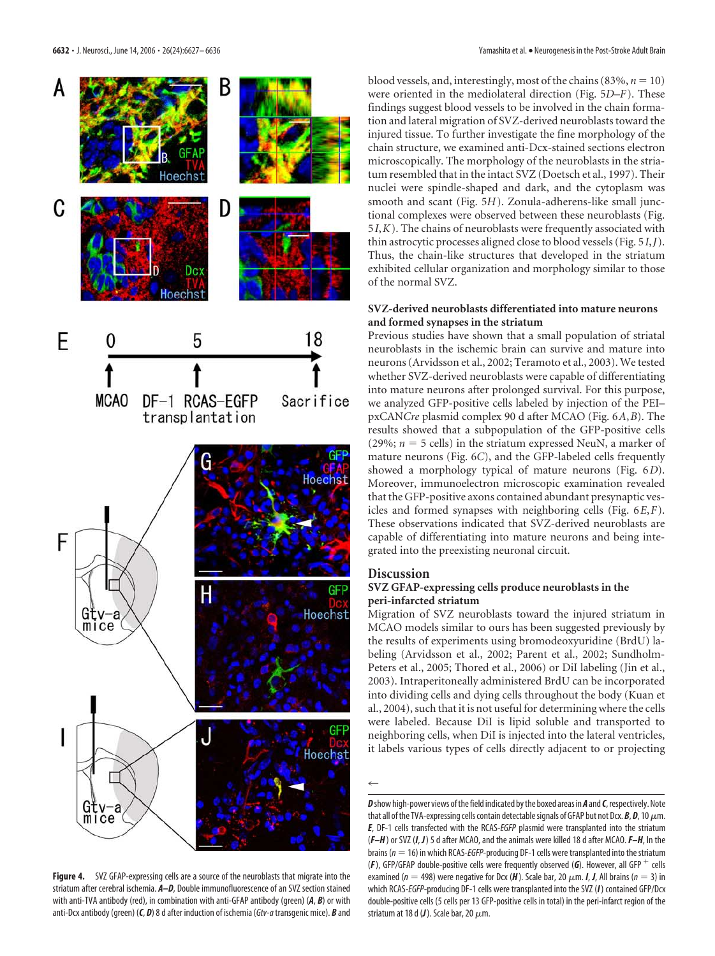

**Figure 4.** SVZ GFAP-expressing cells are a source of the neuroblasts that migrate into the striatum after cerebral ischemia. *A–D*, Double immunofluorescence of an SVZ section stained with anti-TVA antibody (red), in combination with anti-GFAP antibody (green) (*A*, *B*) or with anti-Dcx antibody (green) (*C*, *D*) 8 d after induction of ischemia (*Gtv-a*transgenic mice). *B* and

**6632** • J. Neurosci., June 14, 2006 • 26(24):6627–6636 Yamashita et al. • Neurogenesis in the Post-Stroke Adult Brain

blood vessels, and, interestingly, most of the chains  $(83\%, n = 10)$ were oriented in the mediolateral direction (Fig. 5*D–F*). These findings suggest blood vessels to be involved in the chain formation and lateral migration of SVZ-derived neuroblasts toward the injured tissue. To further investigate the fine morphology of the chain structure, we examined anti-Dcx-stained sections electron microscopically. The morphology of the neuroblasts in the striatum resembled that in the intact SVZ (Doetsch et al., 1997). Their nuclei were spindle-shaped and dark, and the cytoplasm was smooth and scant (Fig. 5*H*). Zonula-adherens-like small junctional complexes were observed between these neuroblasts (Fig. 5*I*,*K*). The chains of neuroblasts were frequently associated with thin astrocytic processes aligned close to blood vessels (Fig. 5*I*,*J*). Thus, the chain-like structures that developed in the striatum exhibited cellular organization and morphology similar to those of the normal SVZ.

## **SVZ-derived neuroblasts differentiated into mature neurons and formed synapses in the striatum**

Previous studies have shown that a small population of striatal neuroblasts in the ischemic brain can survive and mature into neurons (Arvidsson et al., 2002; Teramoto et al., 2003). We tested whether SVZ-derived neuroblasts were capable of differentiating into mature neurons after prolonged survival. For this purpose, we analyzed GFP-positive cells labeled by injection of the PEI– pxCAN*Cre* plasmid complex 90 d after MCAO (Fig. 6*A*,*B*). The results showed that a subpopulation of the GFP-positive cells (29%;  $n = 5$  cells) in the striatum expressed NeuN, a marker of mature neurons (Fig. 6*C*), and the GFP-labeled cells frequently showed a morphology typical of mature neurons (Fig. 6*D*). Moreover, immunoelectron microscopic examination revealed that the GFP-positive axons contained abundant presynaptic vesicles and formed synapses with neighboring cells (Fig. 6*E*,*F*). These observations indicated that SVZ-derived neuroblasts are capable of differentiating into mature neurons and being integrated into the preexisting neuronal circuit.

## **Discussion**

# **SVZ GFAP-expressing cells produce neuroblasts in the peri-infarcted striatum**

Migration of SVZ neuroblasts toward the injured striatum in MCAO models similar to ours has been suggested previously by the results of experiments using bromodeoxyuridine (BrdU) labeling (Arvidsson et al., 2002; Parent et al., 2002; Sundholm-Peters et al., 2005; Thored et al., 2006) or DiI labeling (Jin et al., 2003). Intraperitoneally administered BrdU can be incorporated into dividing cells and dying cells throughout the body (Kuan et al., 2004), such that it is not useful for determining where the cells were labeled. Because DiI is lipid soluble and transported to neighboring cells, when DiI is injected into the lateral ventricles, it labels various types of cells directly adjacent to or projecting

*D*show high-power views ofthe field indicated bythe boxed areas in *A* and*C*,respectively.Note that all of the TVA-expressing cells contain detectable signals of GFAP but not Dcx.  $\bm{B}$ ,  $\bm{D}$ , 10  $\mu$ m. *E*, DF-1 cells transfected with the RCAS-*EGFP* plasmid were transplanted into the striatum (*F–H*) or SVZ (*I*, *J*) 5 d after MCAO, and the animals were killed 18 d after MCAO.*F–H*, In the brains (*n* 16) in which RCAS-*EGFP*-producing DF-1 cells were transplanted into the striatum (F), GFP/GFAP double-positive cells were frequently observed (G). However, all GFP <sup>+</sup> cells examined ( $n = 498$ ) were negative for Dcx (*H*). Scale bar, 20  $\mu$ m. *I*, *J*, All brains ( $n = 3$ ) in which RCAS-*EGFP*-producing DF-1 cells were transplanted into the SVZ (*I*) contained GFP/Dcx double-positive cells (5 cells per 13 GFP-positive cells in total) in the peri-infarct region of the striatum at 18 d  $(J)$ . Scale bar, 20  $\mu$ m.

 $\leftarrow$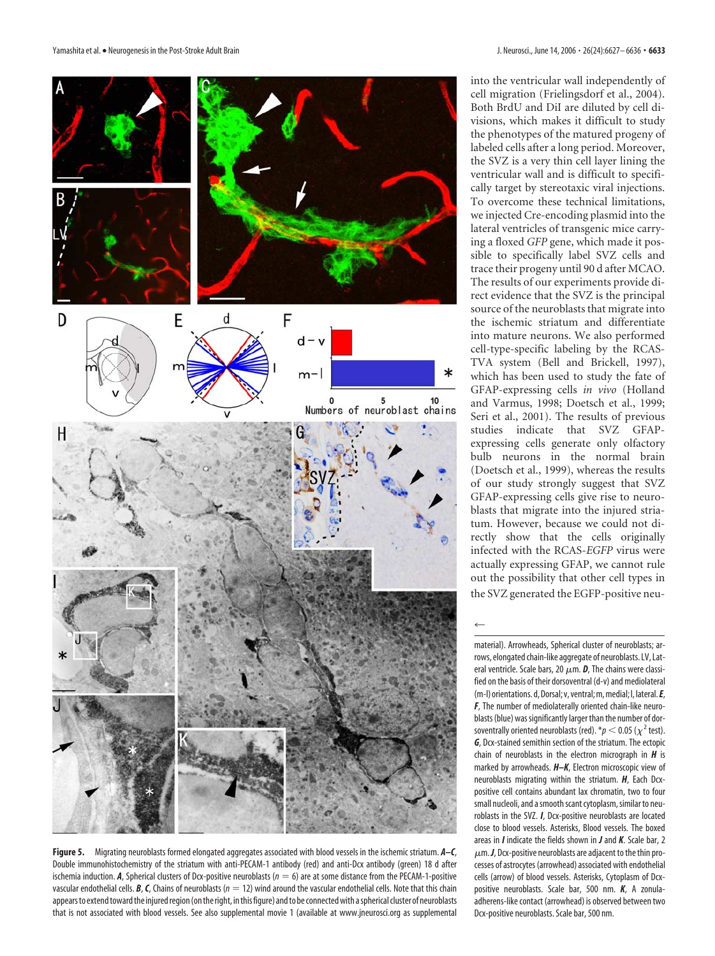

**Figure 5.** Migrating neuroblasts formed elongated aggregates associated with blood vessels in the ischemic striatum. *A–C*, Double immunohistochemistry of the striatum with anti-PECAM-1 antibody (red) and anti-Dcx antibody (green) 18 d after ischemia induction.  $A$ , Spherical clusters of Dcx-positive neuroblasts ( $n = 6$ ) are at some distance from the PECAM-1-positive vascular endothelial cells.  $B$ ,  $C$ , Chains of neuroblasts ( $n = 12$ ) wind around the vascular endothelial cells. Note that this chain appears to extend toward the injured region (on the right, in this figure) and to be connected with a spherical cluster of neuroblasts that is not associated with blood vessels. See also supplemental movie 1 (available at www.jneurosci.org as supplemental

into the ventricular wall independently of cell migration (Frielingsdorf et al., 2004). Both BrdU and DiI are diluted by cell divisions, which makes it difficult to study the phenotypes of the matured progeny of labeled cells after a long period. Moreover, the SVZ is a very thin cell layer lining the ventricular wall and is difficult to specifically target by stereotaxic viral injections. To overcome these technical limitations, we injected Cre-encoding plasmid into the lateral ventricles of transgenic mice carrying a floxed *GFP* gene, which made it possible to specifically label SVZ cells and trace their progeny until 90 d after MCAO. The results of our experiments provide direct evidence that the SVZ is the principal source of the neuroblasts that migrate into the ischemic striatum and differentiate into mature neurons. We also performed cell-type-specific labeling by the RCAS-TVA system (Bell and Brickell, 1997), which has been used to study the fate of GFAP-expressing cells *in vivo* (Holland and Varmus, 1998; Doetsch et al., 1999; Seri et al., 2001). The results of previous studies indicate that SVZ GFAPexpressing cells generate only olfactory bulb neurons in the normal brain (Doetsch et al., 1999), whereas the results of our study strongly suggest that SVZ GFAP-expressing cells give rise to neuroblasts that migrate into the injured striatum. However, because we could not directly show that the cells originally infected with the RCAS-*EGFP* virus were actually expressing GFAP, we cannot rule out the possibility that other cell types in the SVZ generated the EGFP-positive neu-

 $\leftarrow$ 

material). Arrowheads, Spherical cluster of neuroblasts; arrows, elongated chain-like aggregate of neuroblasts. LV, Lateral ventricle. Scale bars, 20  $\mu$ m. **D**, The chains were classified on the basis of their dorsoventral (d-v) and mediolateral (m-l) orientations. d, Dorsal; v, ventral; m, medial; l, lateral. **E**, *F*, The number of mediolaterally oriented chain-like neuroblasts (blue) was significantly larger than the number of dorsoventrally oriented neuroblasts (red).  $* p < 0.05$  ( $\chi^2$  test). *G*, Dcx-stained semithin section of the striatum. The ectopic chain of neuroblasts in the electron micrograph in *H* is marked by arrowheads. *H–K*, Electron microscopic view of neuroblasts migrating within the striatum. *H*, Each Dcxpositive cell contains abundant lax chromatin, two to four small nucleoli, and a smooth scant cytoplasm, similar to neuroblasts in the SVZ. *I*, Dcx-positive neuroblasts are located close to blood vessels. Asterisks, Blood vessels. The boxed areas in *I* indicate the fields shown in *J* and *K*. Scale bar, 2  $\mu$ m. *J*, Dcx-positive neuroblasts are adjacent to the thin processes of astrocytes (arrowhead) associated with endothelial cells (arrow) of blood vessels. Asterisks, Cytoplasm of Dcxpositive neuroblasts. Scale bar, 500 nm. *K*, A zonulaadherens-like contact (arrowhead) is observed between two Dcx-positive neuroblasts. Scale bar, 500 nm.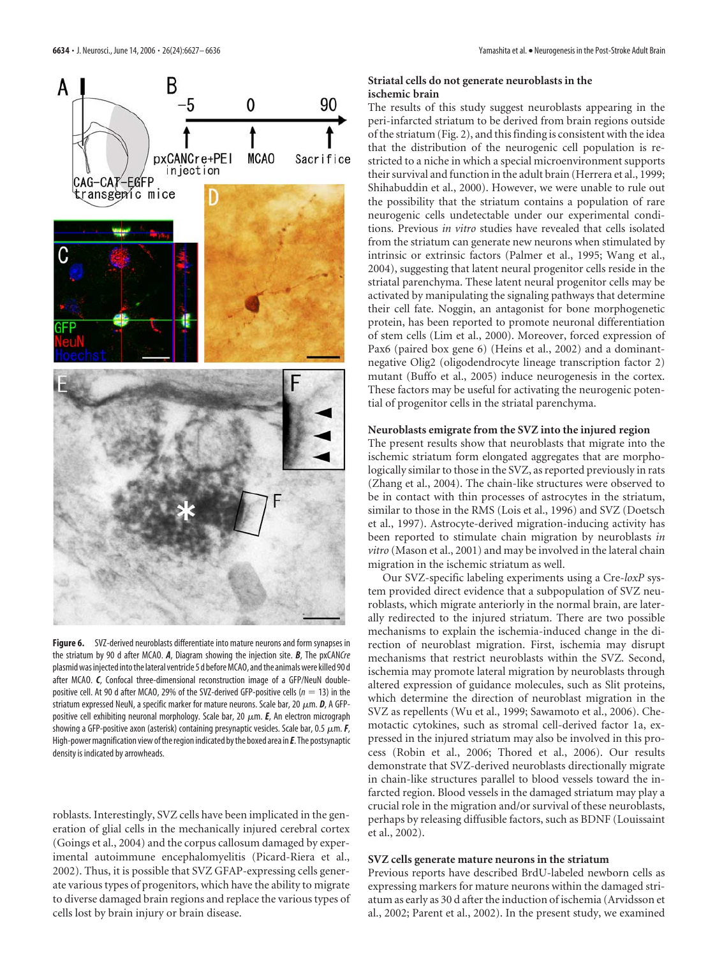

**Figure 6.** SVZ-derived neuroblasts differentiate into mature neurons and form synapses in the striatum by 90 d after MCAO. *A*, Diagram showing the injection site. *B*, The pxCAN*Cre* plasmid was injected into the lateral ventricle 5 d before MCAO, and the animals were killed 90 d after MCAO. *C*, Confocal three-dimensional reconstruction image of a GFP/NeuN doublepositive cell. At 90 d after MCAO, 29% of the SVZ-derived GFP-positive cells (*n* 13) in the striatum expressed NeuN, a specific marker for mature neurons. Scale bar, 20  $\mu$ m. **D**, A GFPpositive cell exhibiting neuronal morphology. Scale bar, 20  $\mu$ m.  $E$ , An electron micrograph showing a GFP-positive axon (asterisk) containing presynaptic vesicles. Scale bar, 0.5  $\mu$ m. **F**, High-power magnification view of the region indicated by the boxed area in *E*. The postsynaptic density is indicated by arrowheads.

roblasts. Interestingly, SVZ cells have been implicated in the generation of glial cells in the mechanically injured cerebral cortex (Goings et al., 2004) and the corpus callosum damaged by experimental autoimmune encephalomyelitis (Picard-Riera et al., 2002). Thus, it is possible that SVZ GFAP-expressing cells generate various types of progenitors, which have the ability to migrate to diverse damaged brain regions and replace the various types of cells lost by brain injury or brain disease.

## **Striatal cells do not generate neuroblasts in the ischemic brain**

The results of this study suggest neuroblasts appearing in the peri-infarcted striatum to be derived from brain regions outside of the striatum (Fig. 2), and this finding is consistent with the idea that the distribution of the neurogenic cell population is restricted to a niche in which a special microenvironment supports their survival and function in the adult brain (Herrera et al., 1999; Shihabuddin et al., 2000). However, we were unable to rule out the possibility that the striatum contains a population of rare neurogenic cells undetectable under our experimental conditions. Previous *in vitro* studies have revealed that cells isolated from the striatum can generate new neurons when stimulated by intrinsic or extrinsic factors (Palmer et al., 1995; Wang et al., 2004), suggesting that latent neural progenitor cells reside in the striatal parenchyma. These latent neural progenitor cells may be activated by manipulating the signaling pathways that determine their cell fate. Noggin, an antagonist for bone morphogenetic protein, has been reported to promote neuronal differentiation of stem cells (Lim et al., 2000). Moreover, forced expression of Pax6 (paired box gene 6) (Heins et al., 2002) and a dominantnegative Olig2 (oligodendrocyte lineage transcription factor 2) mutant (Buffo et al., 2005) induce neurogenesis in the cortex. These factors may be useful for activating the neurogenic potential of progenitor cells in the striatal parenchyma.

#### **Neuroblasts emigrate from the SVZ into the injured region**

The present results show that neuroblasts that migrate into the ischemic striatum form elongated aggregates that are morphologically similar to those in the SVZ, as reported previously in rats (Zhang et al., 2004). The chain-like structures were observed to be in contact with thin processes of astrocytes in the striatum, similar to those in the RMS (Lois et al., 1996) and SVZ (Doetsch et al., 1997). Astrocyte-derived migration-inducing activity has been reported to stimulate chain migration by neuroblasts *in vitro* (Mason et al., 2001) and may be involved in the lateral chain migration in the ischemic striatum as well.

Our SVZ-specific labeling experiments using a Cre-*loxP* system provided direct evidence that a subpopulation of SVZ neuroblasts, which migrate anteriorly in the normal brain, are laterally redirected to the injured striatum. There are two possible mechanisms to explain the ischemia-induced change in the direction of neuroblast migration. First, ischemia may disrupt mechanisms that restrict neuroblasts within the SVZ. Second, ischemia may promote lateral migration by neuroblasts through altered expression of guidance molecules, such as Slit proteins, which determine the direction of neuroblast migration in the SVZ as repellents (Wu et al., 1999; Sawamoto et al., 2006). Chemotactic cytokines, such as stromal cell-derived factor 1a, expressed in the injured striatum may also be involved in this process (Robin et al., 2006; Thored et al., 2006). Our results demonstrate that SVZ-derived neuroblasts directionally migrate in chain-like structures parallel to blood vessels toward the infarcted region. Blood vessels in the damaged striatum may play a crucial role in the migration and/or survival of these neuroblasts, perhaps by releasing diffusible factors, such as BDNF (Louissaint et al., 2002).

#### **SVZ cells generate mature neurons in the striatum**

Previous reports have described BrdU-labeled newborn cells as expressing markers for mature neurons within the damaged striatum as early as 30 d after the induction of ischemia (Arvidsson et al., 2002; Parent et al., 2002). In the present study, we examined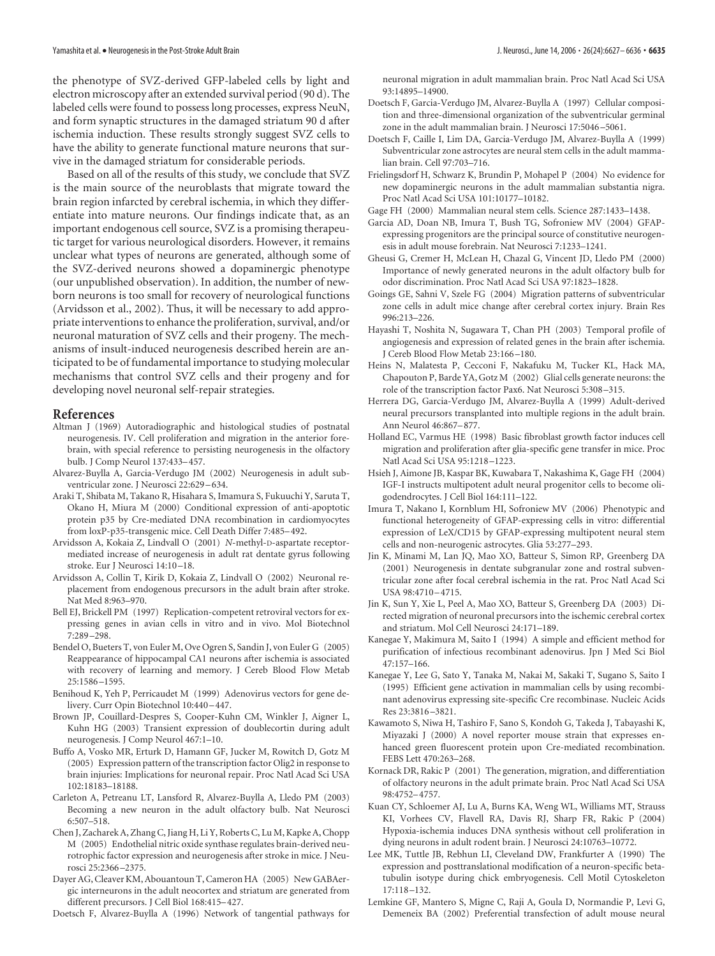the phenotype of SVZ-derived GFP-labeled cells by light and electron microscopy after an extended survival period (90 d). The labeled cells were found to possess long processes, express NeuN, and form synaptic structures in the damaged striatum 90 d after ischemia induction. These results strongly suggest SVZ cells to have the ability to generate functional mature neurons that survive in the damaged striatum for considerable periods.

Based on all of the results of this study, we conclude that SVZ is the main source of the neuroblasts that migrate toward the brain region infarcted by cerebral ischemia, in which they differentiate into mature neurons. Our findings indicate that, as an important endogenous cell source, SVZ is a promising therapeutic target for various neurological disorders. However, it remains unclear what types of neurons are generated, although some of the SVZ-derived neurons showed a dopaminergic phenotype (our unpublished observation). In addition, the number of newborn neurons is too small for recovery of neurological functions (Arvidsson et al., 2002). Thus, it will be necessary to add appropriate interventions to enhance the proliferation, survival, and/or neuronal maturation of SVZ cells and their progeny. The mechanisms of insult-induced neurogenesis described herein are anticipated to be of fundamental importance to studying molecular mechanisms that control SVZ cells and their progeny and for developing novel neuronal self-repair strategies.

#### **References**

- Altman J (1969) Autoradiographic and histological studies of postnatal neurogenesis. IV. Cell proliferation and migration in the anterior forebrain, with special reference to persisting neurogenesis in the olfactory bulb. J Comp Neurol 137:433–457.
- Alvarez-Buylla A, Garcia-Verdugo JM (2002) Neurogenesis in adult subventricular zone. J Neurosci 22:629 –634.
- Araki T, Shibata M, Takano R, Hisahara S, Imamura S, Fukuuchi Y, Saruta T, Okano H, Miura M (2000) Conditional expression of anti-apoptotic protein p35 by Cre-mediated DNA recombination in cardiomyocytes from loxP-p35-transgenic mice. Cell Death Differ 7:485–492.
- Arvidsson A, Kokaia Z, Lindvall O (2001) *N*-methyl-D-aspartate receptormediated increase of neurogenesis in adult rat dentate gyrus following stroke. Eur J Neurosci 14:10 –18.
- Arvidsson A, Collin T, Kirik D, Kokaia Z, Lindvall O (2002) Neuronal replacement from endogenous precursors in the adult brain after stroke. Nat Med 8:963–970.
- Bell EJ, Brickell PM (1997) Replication-competent retroviral vectors for expressing genes in avian cells in vitro and in vivo. Mol Biotechnol 7:289 –298.
- Bendel O, Bueters T, von Euler M, Ove Ogren S, Sandin J, von Euler G (2005) Reappearance of hippocampal CA1 neurons after ischemia is associated with recovery of learning and memory. J Cereb Blood Flow Metab 25:1586 –1595.
- Benihoud K, Yeh P, Perricaudet M (1999) Adenovirus vectors for gene delivery. Curr Opin Biotechnol 10:440 –447.
- Brown JP, Couillard-Despres S, Cooper-Kuhn CM, Winkler J, Aigner L, Kuhn HG (2003) Transient expression of doublecortin during adult neurogenesis. J Comp Neurol 467:1–10.
- Buffo A, Vosko MR, Erturk D, Hamann GF, Jucker M, Rowitch D, Gotz M (2005) Expression pattern of the transcription factor Olig2 in response to brain injuries: Implications for neuronal repair. Proc Natl Acad Sci USA 102:18183–18188.
- Carleton A, Petreanu LT, Lansford R, Alvarez-Buylla A, Lledo PM (2003) Becoming a new neuron in the adult olfactory bulb. Nat Neurosci 6:507–518.
- Chen J, Zacharek A, Zhang C, Jiang H, Li Y, Roberts C, Lu M, Kapke A, Chopp M (2005) Endothelial nitric oxide synthase regulates brain-derived neurotrophic factor expression and neurogenesis after stroke in mice. J Neurosci 25:2366 –2375.
- Dayer AG, Cleaver KM, Abouantoun T, Cameron HA (2005) New GABAergic interneurons in the adult neocortex and striatum are generated from different precursors. J Cell Biol 168:415–427.
- Doetsch F, Alvarez-Buylla A (1996) Network of tangential pathways for

neuronal migration in adult mammalian brain. Proc Natl Acad Sci USA 93:14895–14900.

- Doetsch F, Garcia-Verdugo JM, Alvarez-Buylla A (1997) Cellular composition and three-dimensional organization of the subventricular germinal zone in the adult mammalian brain. J Neurosci 17:5046 –5061.
- Doetsch F, Caille I, Lim DA, Garcia-Verdugo JM, Alvarez-Buylla A (1999) Subventricular zone astrocytes are neural stem cells in the adult mammalian brain. Cell 97:703–716.
- Frielingsdorf H, Schwarz K, Brundin P, Mohapel P (2004) No evidence for new dopaminergic neurons in the adult mammalian substantia nigra. Proc Natl Acad Sci USA 101:10177–10182.
- Gage FH (2000) Mammalian neural stem cells. Science 287:1433–1438.
- Garcia AD, Doan NB, Imura T, Bush TG, Sofroniew MV (2004) GFAPexpressing progenitors are the principal source of constitutive neurogenesis in adult mouse forebrain. Nat Neurosci 7:1233–1241.
- Gheusi G, Cremer H, McLean H, Chazal G, Vincent JD, Lledo PM (2000) Importance of newly generated neurons in the adult olfactory bulb for odor discrimination. Proc Natl Acad Sci USA 97:1823–1828.
- Goings GE, Sahni V, Szele FG (2004) Migration patterns of subventricular zone cells in adult mice change after cerebral cortex injury. Brain Res 996:213–226.
- Hayashi T, Noshita N, Sugawara T, Chan PH (2003) Temporal profile of angiogenesis and expression of related genes in the brain after ischemia. J Cereb Blood Flow Metab 23:166 –180.
- Heins N, Malatesta P, Cecconi F, Nakafuku M, Tucker KL, Hack MA, Chapouton P, Barde YA, Gotz M (2002) Glial cells generate neurons: the role of the transcription factor Pax6. Nat Neurosci 5:308 –315.
- Herrera DG, Garcia-Verdugo JM, Alvarez-Buylla A (1999) Adult-derived neural precursors transplanted into multiple regions in the adult brain. Ann Neurol 46:867–877.
- Holland EC, Varmus HE (1998) Basic fibroblast growth factor induces cell migration and proliferation after glia-specific gene transfer in mice. Proc Natl Acad Sci USA 95:1218 –1223.
- Hsieh J, Aimone JB, Kaspar BK, Kuwabara T, Nakashima K, Gage FH (2004) IGF-I instructs multipotent adult neural progenitor cells to become oligodendrocytes. J Cell Biol 164:111–122.
- Imura T, Nakano I, Kornblum HI, Sofroniew MV (2006) Phenotypic and functional heterogeneity of GFAP-expressing cells in vitro: differential expression of LeX/CD15 by GFAP-expressing multipotent neural stem cells and non-neurogenic astrocytes. Glia 53:277–293.
- Jin K, Minami M, Lan JQ, Mao XO, Batteur S, Simon RP, Greenberg DA (2001) Neurogenesis in dentate subgranular zone and rostral subventricular zone after focal cerebral ischemia in the rat. Proc Natl Acad Sci USA 98:4710-4715.
- Jin K, Sun Y, Xie L, Peel A, Mao XO, Batteur S, Greenberg DA (2003) Directed migration of neuronal precursors into the ischemic cerebral cortex and striatum. Mol Cell Neurosci 24:171–189.
- Kanegae Y, Makimura M, Saito I (1994) A simple and efficient method for purification of infectious recombinant adenovirus. Jpn J Med Sci Biol 47:157–166.
- Kanegae Y, Lee G, Sato Y, Tanaka M, Nakai M, Sakaki T, Sugano S, Saito I (1995) Efficient gene activation in mammalian cells by using recombinant adenovirus expressing site-specific Cre recombinase. Nucleic Acids Res 23:3816 –3821.
- Kawamoto S, Niwa H, Tashiro F, Sano S, Kondoh G, Takeda J, Tabayashi K, Miyazaki J (2000) A novel reporter mouse strain that expresses enhanced green fluorescent protein upon Cre-mediated recombination. FEBS Lett 470:263–268.
- Kornack DR, Rakic P (2001) The generation, migration, and differentiation of olfactory neurons in the adult primate brain. Proc Natl Acad Sci USA 98:4752–4757.
- Kuan CY, Schloemer AJ, Lu A, Burns KA, Weng WL, Williams MT, Strauss KI, Vorhees CV, Flavell RA, Davis RJ, Sharp FR, Rakic P (2004) Hypoxia-ischemia induces DNA synthesis without cell proliferation in dying neurons in adult rodent brain. J Neurosci 24:10763–10772.
- Lee MK, Tuttle JB, Rebhun LI, Cleveland DW, Frankfurter A (1990) The expression and posttranslational modification of a neuron-specific betatubulin isotype during chick embryogenesis. Cell Motil Cytoskeleton 17:118 –132.
- Lemkine GF, Mantero S, Migne C, Raji A, Goula D, Normandie P, Levi G, Demeneix BA (2002) Preferential transfection of adult mouse neural